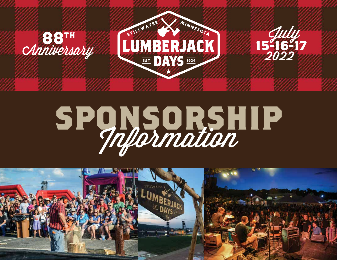

# **SPONSORSHIP**

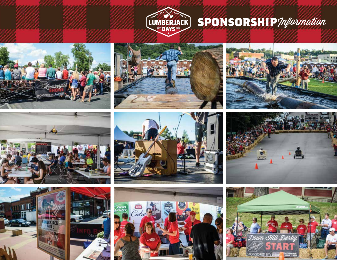

#### **SPONSORSHIP***Information*

















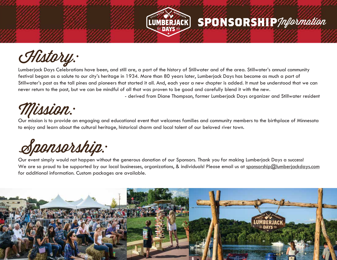

#### History:

Lumberjack Days Celebrations have been, and still are, a part of the history of Stillwater and of the area. Stillwater's annual community festival began as a salute to our city's heritage in 1934. More than 80 years later, Lumberjack Days has become as much a part of Stillwater's past as the tall pines and pioneers that started it all. And, each year a new chapter is added. It must be understood that we can never return to the past, but we can be mindful of all that was proven to be good and carefully blend it with the new.

- derived from Diane Thompson, former Lumberjack Days organizer and Stillwater resident

**SPONSORSHIP***/nformation* 

#### Mission:

Our mission is to provide an engaging and educational event that welcomes families and community members to the birthplace of Minnesota to enjoy and learn about the cultural heritage, historical charm and local talent of our beloved river town.

### Sponsorship:

Our event simply would not happen without the generous donation of our Sponsors. Thank you for making Lumberjack Days a success! We are so proud to be supported by our local businesses, organizations, & individuals! Please email us at sponsorship@lumberjackdays.com for additional information. Custom packages are available.